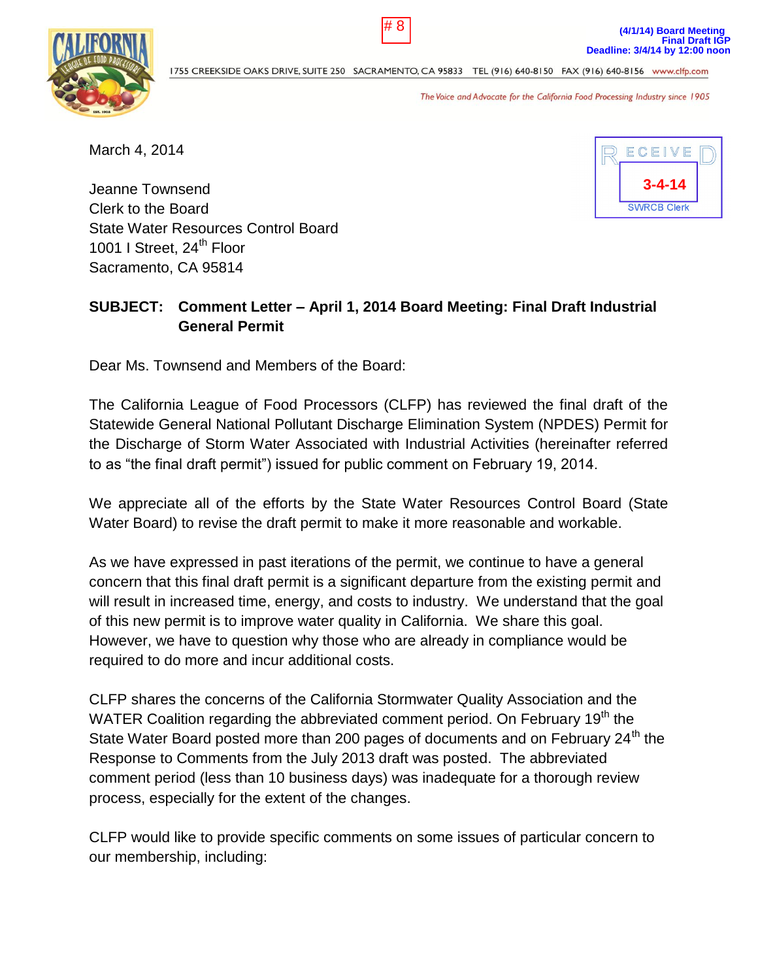1755 CREEKSIDE OAKS DRIVE, SUITE 250 SACRAMENTO, CA 95833 TEL (916) 640-8150 FAX (916) 640-8156 www.clfp.com

The Voice and Advocate for the California Food Processing Industry since 1905

March 4, 2014

Jeanne Townsend Clerk to the Board State Water Resources Control Board 1001 I Street, 24<sup>th</sup> Floor Sacramento, CA 95814

# **SUBJECT: Comment Letter – April 1, 2014 Board Meeting: Final Draft Industrial General Permit**

Dear Ms. Townsend and Members of the Board:

The California League of Food Processors (CLFP) has reviewed the final draft of the Statewide General National Pollutant Discharge Elimination System (NPDES) Permit for the Discharge of Storm Water Associated with Industrial Activities (hereinafter referred to as "the final draft permit") issued for public comment on February 19, 2014.

We appreciate all of the efforts by the State Water Resources Control Board (State Water Board) to revise the draft permit to make it more reasonable and workable.

As we have expressed in past iterations of the permit, we continue to have a general concern that this final draft permit is a significant departure from the existing permit and will result in increased time, energy, and costs to industry. We understand that the goal of this new permit is to improve water quality in California. We share this goal. However, we have to question why those who are already in compliance would be required to do more and incur additional costs.

CLFP shares the concerns of the California Stormwater Quality Association and the WATER Coalition regarding the abbreviated comment period. On February 19<sup>th</sup> the State Water Board posted more than 200 pages of documents and on February 24<sup>th</sup> the Response to Comments from the July 2013 draft was posted. The abbreviated comment period (less than 10 business days) was inadequate for a thorough review process, especially for the extent of the changes.

CLFP would like to provide specific comments on some issues of particular concern to our membership, including:



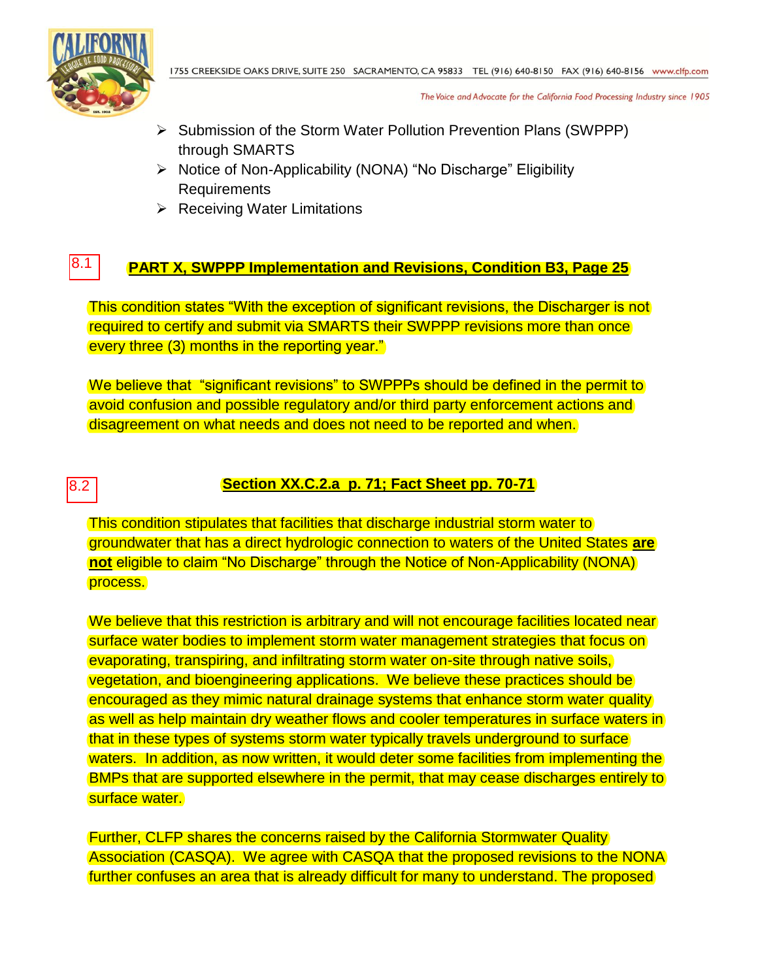

The Voice and Advocate for the California Food Processing Industry since 1905

- ▶ Submission of the Storm Water Pollution Prevention Plans (SWPPP) through SMARTS
- $\triangleright$  Notice of Non-Applicability (NONA) "No Discharge" Eligibility Requirements
- $\triangleright$  Receiving Water Limitations

#### **PART X, SWPPP Implementation and Revisions, Condition B3, Page 25** 8.1

This condition states "With the exception of significant revisions, the Discharger is not required to certify and submit via SMARTS their SWPPP revisions more than once every three (3) months in the reporting year."

We believe that "significant revisions" to SWPPPs should be defined in the permit to avoid confusion and possible regulatory and/or third party enforcement actions and disagreement on what needs and does not need to be reported and when.

# 8.2

# **Section XX.C.2.a p. 71; Fact Sheet pp. 70-71**

This condition stipulates that facilities that discharge industrial storm water to groundwater that has a direct hydrologic connection to waters of the United States **are not** eligible to claim "No Discharge" through the Notice of Non-Applicability (NONA) process.

We believe that this restriction is arbitrary and will not encourage facilities located near surface water bodies to implement storm water management strategies that focus on evaporating, transpiring, and infiltrating storm water on-site through native soils, vegetation, and bioengineering applications. We believe these practices should be encouraged as they mimic natural drainage systems that enhance storm water quality as well as help maintain dry weather flows and cooler temperatures in surface waters in that in these types of systems storm water typically travels underground to surface waters. In addition, as now written, it would deter some facilities from implementing the BMPs that are supported elsewhere in the permit, that may cease discharges entirely to surface water.

Further, CLFP shares the concerns raised by the California Stormwater Quality Association (CASQA). We agree with CASQA that the proposed revisions to the NONA further confuses an area that is already difficult for many to understand. The proposed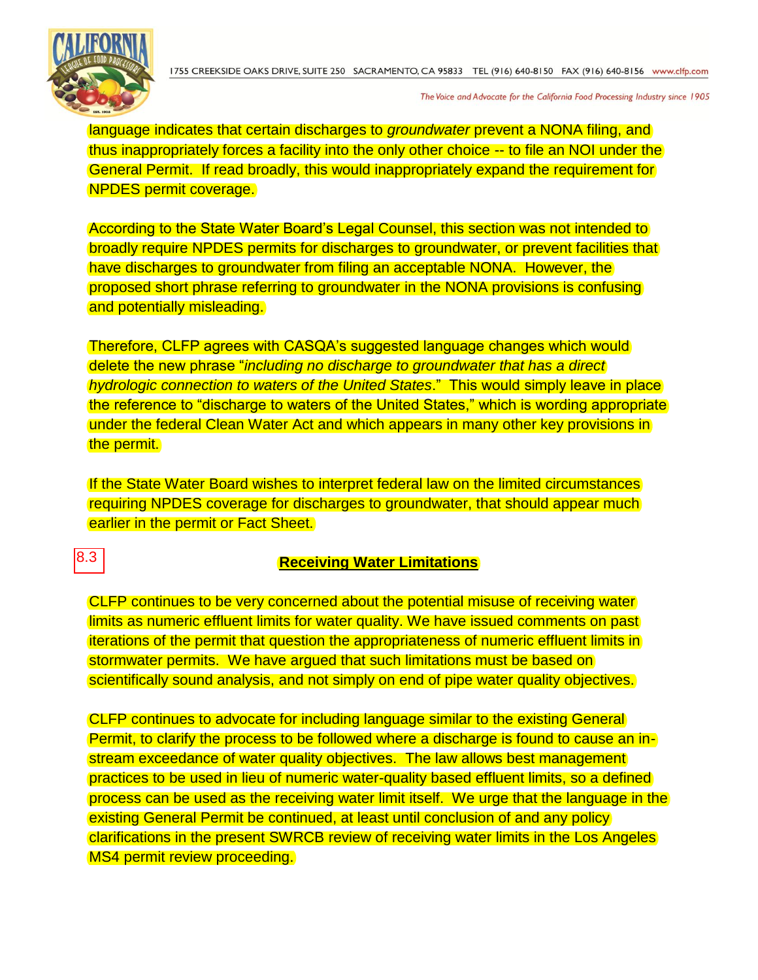

The Voice and Advocate for the California Food Processing Industry since 1905

language indicates that certain discharges to *groundwater* prevent a NONA filing, and thus inappropriately forces a facility into the only other choice -- to file an NOI under the General Permit. If read broadly, this would inappropriately expand the requirement for NPDES permit coverage.

According to the State Water Board's Legal Counsel, this section was not intended to broadly require NPDES permits for discharges to groundwater, or prevent facilities that have discharges to groundwater from filing an acceptable NONA. However, the proposed short phrase referring to groundwater in the NONA provisions is confusing and potentially misleading.

Therefore, CLFP agrees with CASQA's suggested language changes which would delete the new phrase "*including no discharge to groundwater that has a direct hydrologic connection to waters of the United States*." This would simply leave in place the reference to "discharge to waters of the United States," which is wording appropriate under the federal Clean Water Act and which appears in many other key provisions in the permit.

If the State Water Board wishes to interpret federal law on the limited circumstances requiring NPDES coverage for discharges to groundwater, that should appear much earlier in the permit or Fact Sheet.

8.3

### **Receiving Water Limitations**

CLFP continues to be very concerned about the potential misuse of receiving water limits as numeric effluent limits for water quality. We have issued comments on past iterations of the permit that question the appropriateness of numeric effluent limits in stormwater permits. We have argued that such limitations must be based on scientifically sound analysis, and not simply on end of pipe water quality objectives.

CLFP continues to advocate for including language similar to the existing General Permit, to clarify the process to be followed where a discharge is found to cause an instream exceedance of water quality objectives. The law allows best management practices to be used in lieu of numeric water-quality based effluent limits, so a defined process can be used as the receiving water limit itself. We urge that the language in the existing General Permit be continued, at least until conclusion of and any policy clarifications in the present SWRCB review of receiving water limits in the Los Angeles MS4 permit review proceeding.